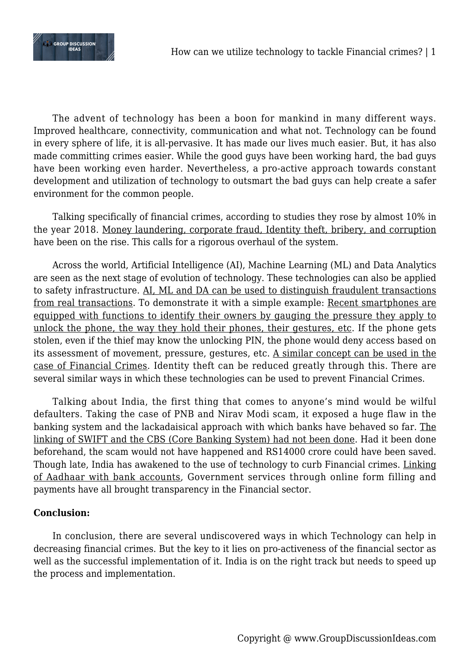

The advent of technology has been a boon for mankind in many different ways. Improved healthcare, connectivity, communication and what not. Technology can be found in every sphere of life, it is all-pervasive. It has made our lives much easier. But, it has also made committing crimes easier. While the good guys have been working hard, the bad guys have been working even harder. Nevertheless, a pro-active approach towards constant development and utilization of technology to outsmart the bad guys can help create a safer environment for the common people.

Talking specifically of financial crimes, according to studies they rose by almost 10% in the year 2018. Money laundering, corporate fraud, Identity theft, bribery, and corruption have been on the rise. This calls for a rigorous overhaul of the system.

Across the world, Artificial Intelligence (AI), Machine Learning (ML) and Data Analytics are seen as the next stage of evolution of technology. These technologies can also be applied to safety infrastructure. AI, ML and DA can be used to distinguish fraudulent transactions from real transactions. To demonstrate it with a simple example: Recent smartphones are equipped with functions to identify their owners by gauging the pressure they apply to unlock the phone, the way they hold their phones, their gestures, etc. If the phone gets stolen, even if the thief may know the unlocking PIN, the phone would deny access based on its assessment of movement, pressure, gestures, etc. A similar concept can be used in the case of Financial Crimes. Identity theft can be reduced greatly through this. There are several similar ways in which these technologies can be used to prevent Financial Crimes.

Talking about India, the first thing that comes to anyone's mind would be wilful defaulters. Taking the case of PNB and Nirav Modi scam, it exposed a huge flaw in the banking system and the lackadaisical approach with which banks have behaved so far. The linking of SWIFT and the CBS (Core Banking System) had not been done. Had it been done beforehand, the scam would not have happened and RS14000 crore could have been saved. Though late, India has awakened to the use of technology to curb Financial crimes. Linking of Aadhaar with bank accounts, Government services through online form filling and payments have all brought transparency in the Financial sector.

## **Conclusion:**

In conclusion, there are several undiscovered ways in which Technology can help in decreasing financial crimes. But the key to it lies on pro-activeness of the financial sector as well as the successful implementation of it. India is on the right track but needs to speed up the process and implementation.